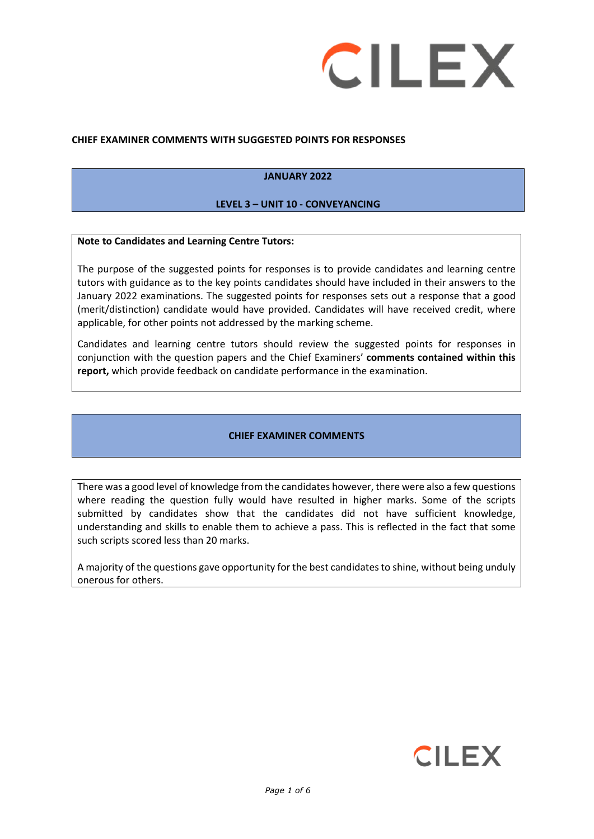

#### **CHIEF EXAMINER COMMENTS WITH SUGGESTED POINTS FOR RESPONSES**

#### **JANUARY 2022**

#### **LEVEL 3 – UNIT 10 - CONVEYANCING**

#### **Note to Candidates and Learning Centre Tutors:**

The purpose of the suggested points for responses is to provide candidates and learning centre tutors with guidance as to the key points candidates should have included in their answers to the January 2022 examinations. The suggested points for responses sets out a response that a good (merit/distinction) candidate would have provided. Candidates will have received credit, where applicable, for other points not addressed by the marking scheme.

Candidates and learning centre tutors should review the suggested points for responses in conjunction with the question papers and the Chief Examiners' **comments contained within this report,** which provide feedback on candidate performance in the examination.

#### **CHIEF EXAMINER COMMENTS**

There was a good level of knowledge from the candidates however, there were also a few questions where reading the question fully would have resulted in higher marks. Some of the scripts submitted by candidates show that the candidates did not have sufficient knowledge, understanding and skills to enable them to achieve a pass. This is reflected in the fact that some such scripts scored less than 20 marks.

A majority of the questions gave opportunity for the best candidates to shine, without being unduly onerous for others.

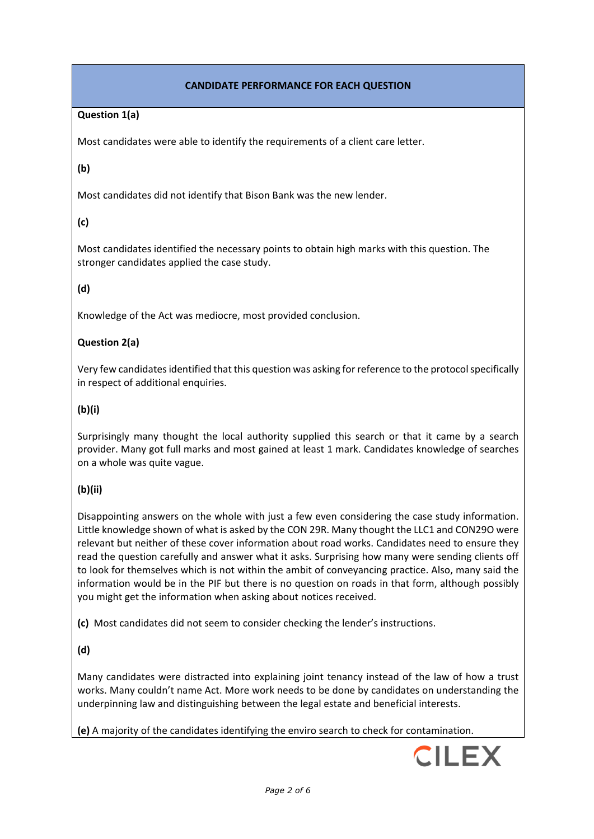# **CANDIDATE PERFORMANCE FOR EACH QUESTION**

## **Question 1(a)**

Most candidates were able to identify the requirements of a client care letter.

### **(b)**

Most candidates did not identify that Bison Bank was the new lender.

# **(c)**

Most candidates identified the necessary points to obtain high marks with this question. The stronger candidates applied the case study.

# **(d)**

Knowledge of the Act was mediocre, most provided conclusion.

## **Question 2(a)**

Very few candidates identified that this question was asking for reference to the protocol specifically in respect of additional enquiries.

## **(b)(i)**

Surprisingly many thought the local authority supplied this search or that it came by a search provider. Many got full marks and most gained at least 1 mark. Candidates knowledge of searches on a whole was quite vague.

# **(b)(ii)**

Disappointing answers on the whole with just a few even considering the case study information. Little knowledge shown of what is asked by the CON 29R. Many thought the LLC1 and CON29O were relevant but neither of these cover information about road works. Candidates need to ensure they read the question carefully and answer what it asks. Surprising how many were sending clients off to look for themselves which is not within the ambit of conveyancing practice. Also, many said the information would be in the PIF but there is no question on roads in that form, although possibly you might get the information when asking about notices received.

**(c)** Most candidates did not seem to consider checking the lender's instructions.

# **(d)**

Many candidates were distracted into explaining joint tenancy instead of the law of how a trust works. Many couldn't name Act. More work needs to be done by candidates on understanding the underpinning law and distinguishing between the legal estate and beneficial interests.

**(e)** A majority of the candidates identifying the enviro search to check for contamination.

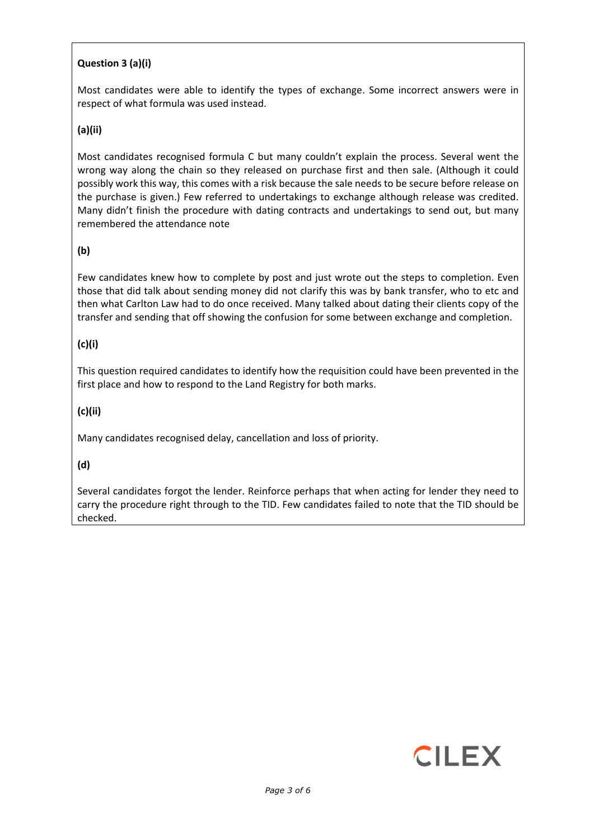# **Question 3 (a)(i)**

Most candidates were able to identify the types of exchange. Some incorrect answers were in respect of what formula was used instead.

### **(a)(ii)**

Most candidates recognised formula C but many couldn't explain the process. Several went the wrong way along the chain so they released on purchase first and then sale. (Although it could possibly work this way, this comes with a risk because the sale needs to be secure before release on the purchase is given.) Few referred to undertakings to exchange although release was credited. Many didn't finish the procedure with dating contracts and undertakings to send out, but many remembered the attendance note

### **(b)**

Few candidates knew how to complete by post and just wrote out the steps to completion. Even those that did talk about sending money did not clarify this was by bank transfer, who to etc and then what Carlton Law had to do once received. Many talked about dating their clients copy of the transfer and sending that off showing the confusion for some between exchange and completion.

### **(c)(i)**

This question required candidates to identify how the requisition could have been prevented in the first place and how to respond to the Land Registry for both marks.

### **(c)(ii)**

Many candidates recognised delay, cancellation and loss of priority.

### **(d)**

Several candidates forgot the lender. Reinforce perhaps that when acting for lender they need to carry the procedure right through to the TID. Few candidates failed to note that the TID should be checked.

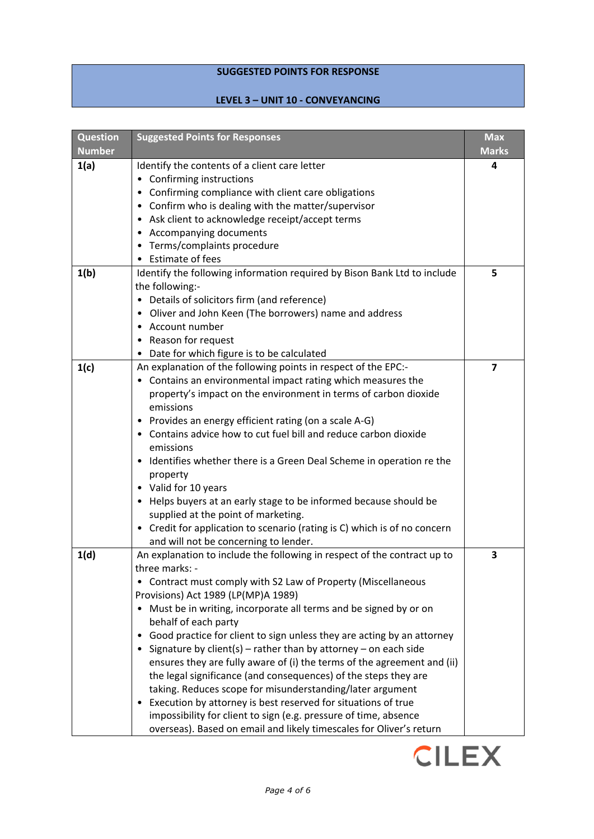# **SUGGESTED POINTS FOR RESPONSE**

# **LEVEL 3 – UNIT 10 - CONVEYANCING**

| <b>Question</b><br><b>Number</b> | <b>Suggested Points for Responses</b>                                                      | <b>Max</b><br><b>Marks</b> |
|----------------------------------|--------------------------------------------------------------------------------------------|----------------------------|
| 1(a)                             | Identify the contents of a client care letter                                              | 4                          |
|                                  | • Confirming instructions                                                                  |                            |
|                                  | • Confirming compliance with client care obligations                                       |                            |
|                                  | • Confirm who is dealing with the matter/supervisor                                        |                            |
|                                  | • Ask client to acknowledge receipt/accept terms                                           |                            |
|                                  | • Accompanying documents                                                                   |                            |
|                                  | • Terms/complaints procedure                                                               |                            |
|                                  | • Estimate of fees                                                                         |                            |
| 1(b)                             | Identify the following information required by Bison Bank Ltd to include                   | 5                          |
|                                  | the following:-                                                                            |                            |
|                                  | • Details of solicitors firm (and reference)                                               |                            |
|                                  | • Oliver and John Keen (The borrowers) name and address                                    |                            |
|                                  | • Account number                                                                           |                            |
|                                  | • Reason for request                                                                       |                            |
|                                  | Date for which figure is to be calculated                                                  |                            |
| 1(c)                             | An explanation of the following points in respect of the EPC:-                             | $\overline{\mathbf{z}}$    |
|                                  | • Contains an environmental impact rating which measures the                               |                            |
|                                  | property's impact on the environment in terms of carbon dioxide                            |                            |
|                                  | emissions                                                                                  |                            |
|                                  | • Provides an energy efficient rating (on a scale A-G)                                     |                            |
|                                  | • Contains advice how to cut fuel bill and reduce carbon dioxide                           |                            |
|                                  | emissions                                                                                  |                            |
|                                  | • Identifies whether there is a Green Deal Scheme in operation re the                      |                            |
|                                  | property                                                                                   |                            |
|                                  | • Valid for 10 years                                                                       |                            |
|                                  | Helps buyers at an early stage to be informed because should be<br>٠                       |                            |
|                                  | supplied at the point of marketing.                                                        |                            |
|                                  | • Credit for application to scenario (rating is C) which is of no concern                  |                            |
|                                  | and will not be concerning to lender.                                                      |                            |
| 1(d)                             | An explanation to include the following in respect of the contract up to<br>three marks: - | 3                          |
|                                  | Contract must comply with S2 Law of Property (Miscellaneous                                |                            |
|                                  | Provisions) Act 1989 (LP(MP)A 1989)                                                        |                            |
|                                  | Must be in writing, incorporate all terms and be signed by or on<br>$\bullet$              |                            |
|                                  | behalf of each party                                                                       |                            |
|                                  | Good practice for client to sign unless they are acting by an attorney<br>٠                |                            |
|                                  | Signature by client(s) – rather than by attorney – on each side                            |                            |
|                                  | ensures they are fully aware of (i) the terms of the agreement and (ii)                    |                            |
|                                  | the legal significance (and consequences) of the steps they are                            |                            |
|                                  | taking. Reduces scope for misunderstanding/later argument                                  |                            |
|                                  | Execution by attorney is best reserved for situations of true                              |                            |
|                                  | impossibility for client to sign (e.g. pressure of time, absence                           |                            |
|                                  | overseas). Based on email and likely timescales for Oliver's return                        |                            |

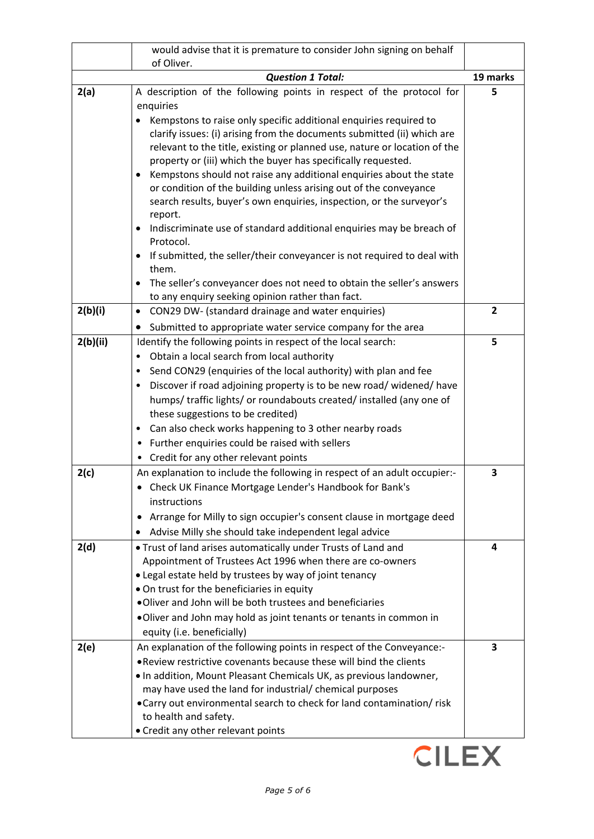|          | would advise that it is premature to consider John signing on behalf                                                                     |                |
|----------|------------------------------------------------------------------------------------------------------------------------------------------|----------------|
|          | of Oliver.<br><b>Question 1 Total:</b>                                                                                                   | 19 marks       |
| 2(a)     | A description of the following points in respect of the protocol for                                                                     | 5              |
|          | enquiries                                                                                                                                |                |
|          | Kempstons to raise only specific additional enquiries required to                                                                        |                |
|          | clarify issues: (i) arising from the documents submitted (ii) which are                                                                  |                |
|          | relevant to the title, existing or planned use, nature or location of the                                                                |                |
|          | property or (iii) which the buyer has specifically requested.                                                                            |                |
|          | Kempstons should not raise any additional enquiries about the state<br>or condition of the building unless arising out of the conveyance |                |
|          | search results, buyer's own enquiries, inspection, or the surveyor's                                                                     |                |
|          | report.                                                                                                                                  |                |
|          | Indiscriminate use of standard additional enquiries may be breach of<br>٠                                                                |                |
|          | Protocol.                                                                                                                                |                |
|          | If submitted, the seller/their conveyancer is not required to deal with<br>them.                                                         |                |
|          | The seller's conveyancer does not need to obtain the seller's answers                                                                    |                |
|          | to any enquiry seeking opinion rather than fact.                                                                                         |                |
| 2(b)(i)  | CON29 DW- (standard drainage and water enquiries)<br>$\bullet$                                                                           | $\overline{2}$ |
|          | Submitted to appropriate water service company for the area<br>$\bullet$                                                                 |                |
| 2(b)(ii) | Identify the following points in respect of the local search:                                                                            | 5              |
|          | Obtain a local search from local authority                                                                                               |                |
|          | Send CON29 (enquiries of the local authority) with plan and fee                                                                          |                |
|          | Discover if road adjoining property is to be new road/ widened/ have                                                                     |                |
|          | humps/ traffic lights/ or roundabouts created/ installed (any one of<br>these suggestions to be credited)                                |                |
|          | Can also check works happening to 3 other nearby roads<br>٠                                                                              |                |
|          | Further enquiries could be raised with sellers<br>$\bullet$                                                                              |                |
|          | • Credit for any other relevant points                                                                                                   |                |
| 2(c)     | An explanation to include the following in respect of an adult occupier:-                                                                | 3              |
|          | Check UK Finance Mortgage Lender's Handbook for Bank's                                                                                   |                |
|          | instructions                                                                                                                             |                |
|          | Arrange for Milly to sign occupier's consent clause in mortgage deed<br>٠                                                                |                |
|          | Advise Milly she should take independent legal advice                                                                                    |                |
| 2(d)     | . Trust of land arises automatically under Trusts of Land and                                                                            | 4              |
|          | Appointment of Trustees Act 1996 when there are co-owners                                                                                |                |
|          | • Legal estate held by trustees by way of joint tenancy                                                                                  |                |
|          | • On trust for the beneficiaries in equity<br>. Oliver and John will be both trustees and beneficiaries                                  |                |
|          | . Oliver and John may hold as joint tenants or tenants in common in                                                                      |                |
|          | equity (i.e. beneficially)                                                                                                               |                |
| 2(e)     | An explanation of the following points in respect of the Conveyance:-                                                                    | 3              |
|          | . Review restrictive covenants because these will bind the clients                                                                       |                |
|          | . In addition, Mount Pleasant Chemicals UK, as previous landowner,                                                                       |                |
|          | may have used the land for industrial/ chemical purposes                                                                                 |                |
|          | • Carry out environmental search to check for land contamination/risk                                                                    |                |
|          | to health and safety.                                                                                                                    |                |
|          | • Credit any other relevant points                                                                                                       |                |